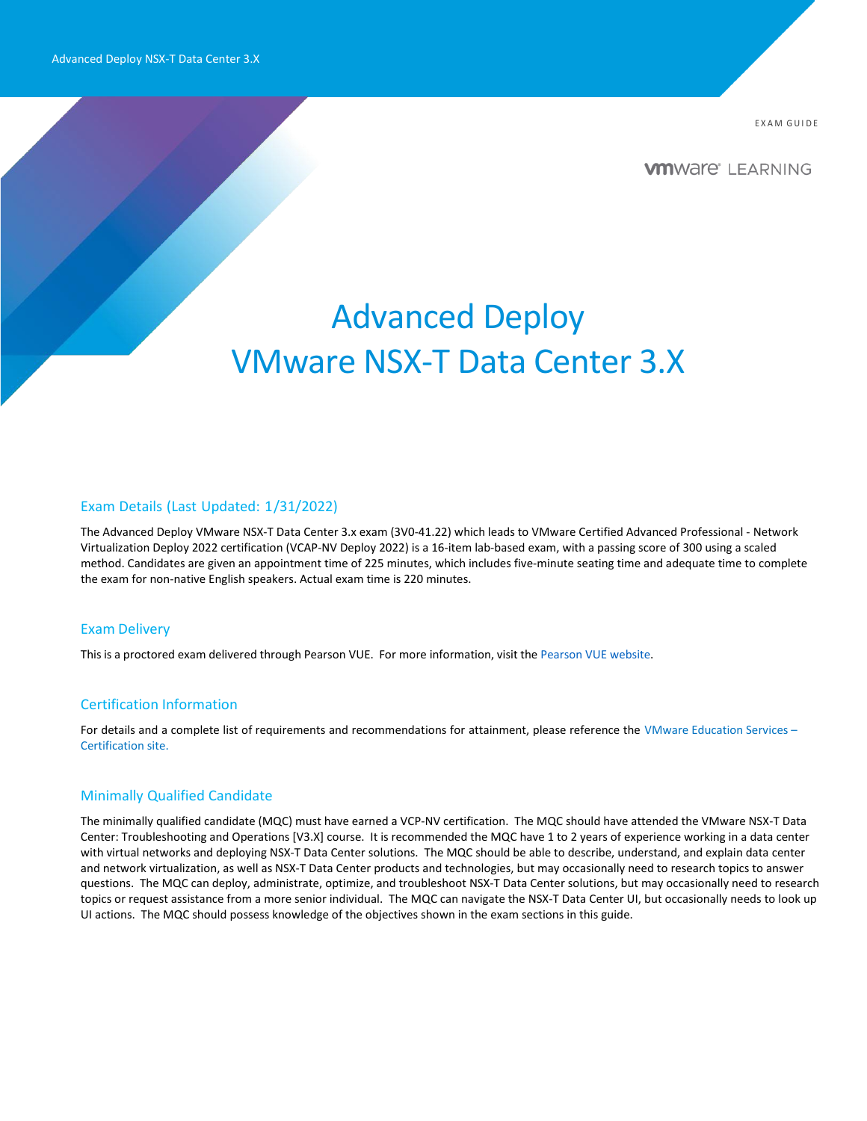E X A M G UI D E

**VMWAre**<sup>®</sup> LEARNING

# Advanced Deploy VMware NSX-T Data Center 3.X

#### Exam Details (Last Updated: 1/31/2022)

The Advanced Deploy VMware NSX-T Data Center 3.x exam (3V0-41.22) which leads to VMware Certified Advanced Professional - Network Virtualization Deploy 2022 certification (VCAP-NV Deploy 2022) is a 16-item lab-based exam, with a passing score of 300 using a scaled method. Candidates are given an appointment time of 225 minutes, which includes five-minute seating time and adequate time to complete the exam for non-native English speakers. Actual exam time is 220 minutes.

#### Exam Delivery

This is a proctored exam delivered through Pearson VUE. For more information, visit the [Pearson](https://www.pearsonvue.com/) VUE website.

## Certification Information

For details and a complete list of requirements and recommendations for attainment, please reference the [VMware Education](https://www.vmware.com/learning/certification.html) Services -[Certification site.](https://www.vmware.com/learning/certification.html)

### Minimally Qualified Candidate

The minimally qualified candidate (MQC) must have earned a VCP-NV certification. The MQC should have attended the VMware NSX-T Data Center: Troubleshooting and Operations [V3.X] course. It is recommended the MQC have 1 to 2 years of experience working in a data center with virtual networks and deploying NSX-T Data Center solutions. The MQC should be able to describe, understand, and explain data center and network virtualization, as well as NSX-T Data Center products and technologies, but may occasionally need to research topics to answer questions. The MQC can deploy, administrate, optimize, and troubleshoot NSX-T Data Center solutions, but may occasionally need to research topics or request assistance from a more senior individual. The MQC can navigate the NSX-T Data Center UI, but occasionally needs to look up UI actions. The MQC should possess knowledge of the objectives shown in the exam sections in this guide.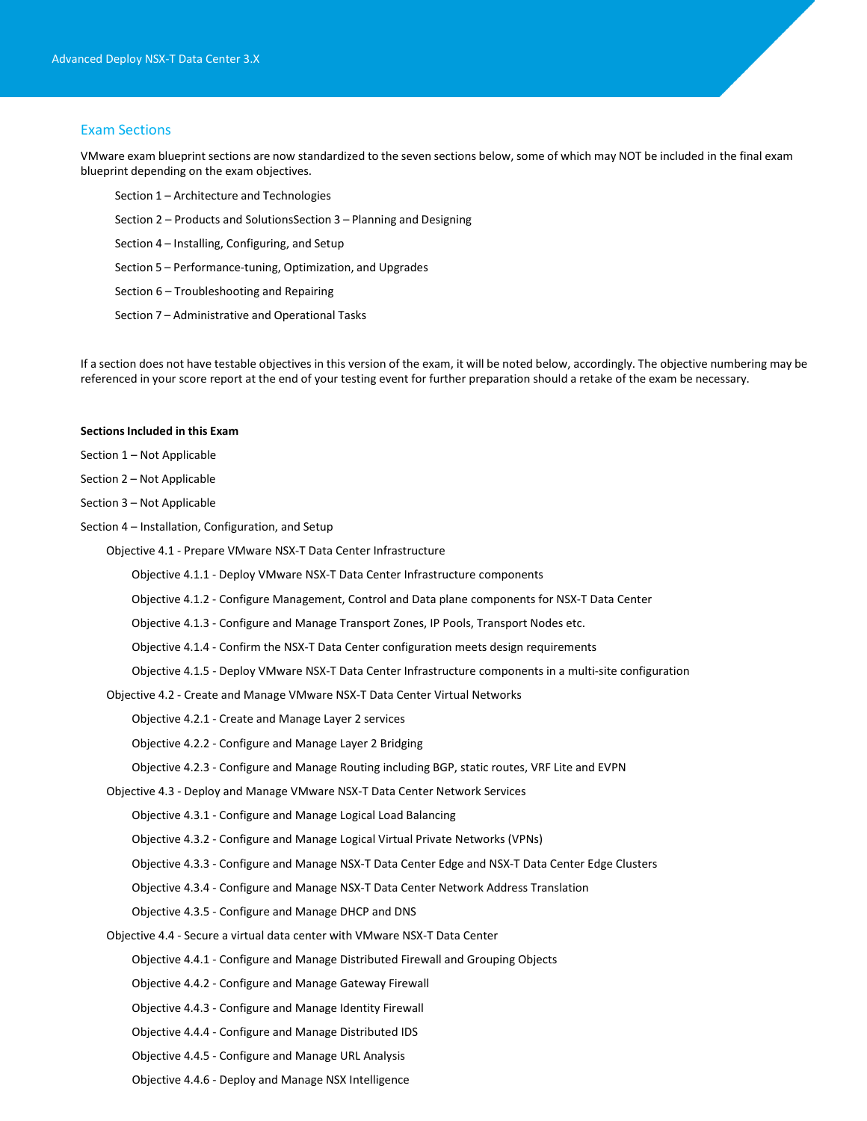#### Exam Sections

VMware exam blueprint sections are now standardized to the seven sections below, some of which may NOT be included in the final exam blueprint depending on the exam objectives.

- Section 1 Architecture and Technologies
- Section 2 Products and SolutionsSection 3 Planning and Designing
- Section 4 Installing, Configuring, and Setup
- Section 5 Performance-tuning, Optimization, and Upgrades
- Section 6 Troubleshooting and Repairing
- Section 7 Administrative and Operational Tasks

If a section does not have testable objectives in this version of the exam, it will be noted below, accordingly. The objective numbering may be referenced in your score report at the end of your testing event for further preparation should a retake of the exam be necessary.

#### **Sections Included in this Exam**

Section 1 – Not Applicable

Section 2 – Not Applicable

Section 3 – Not Applicable

Section 4 – Installation, Configuration, and Setup

Objective 4.1 - Prepare VMware NSX-T Data Center Infrastructure

- Objective 4.1.1 Deploy VMware NSX-T Data Center Infrastructure components
- Objective 4.1.2 Configure Management, Control and Data plane components for NSX-T Data Center
- Objective 4.1.3 Configure and Manage Transport Zones, IP Pools, Transport Nodes etc.
- Objective 4.1.4 Confirm the NSX-T Data Center configuration meets design requirements
- Objective 4.1.5 Deploy VMware NSX-T Data Center Infrastructure components in a multi-site configuration

Objective 4.2 - Create and Manage VMware NSX-T Data Center Virtual Networks

Objective 4.2.1 - Create and Manage Layer 2 services

Objective 4.2.2 - Configure and Manage Layer 2 Bridging

- Objective 4.2.3 Configure and Manage Routing including BGP, static routes, VRF Lite and EVPN
- Objective 4.3 Deploy and Manage VMware NSX-T Data Center Network Services
	- Objective 4.3.1 Configure and Manage Logical Load Balancing
	- Objective 4.3.2 Configure and Manage Logical Virtual Private Networks (VPNs)
	- Objective 4.3.3 Configure and Manage NSX-T Data Center Edge and NSX-T Data Center Edge Clusters
	- Objective 4.3.4 Configure and Manage NSX-T Data Center Network Address Translation
	- Objective 4.3.5 Configure and Manage DHCP and DNS
- Objective 4.4 Secure a virtual data center with VMware NSX-T Data Center
	- Objective 4.4.1 Configure and Manage Distributed Firewall and Grouping Objects
	- Objective 4.4.2 Configure and Manage Gateway Firewall
	- Objective 4.4.3 Configure and Manage Identity Firewall
	- Objective 4.4.4 Configure and Manage Distributed IDS
	- Objective 4.4.5 Configure and Manage URL Analysis
	- Objective 4.4.6 Deploy and Manage NSX Intelligence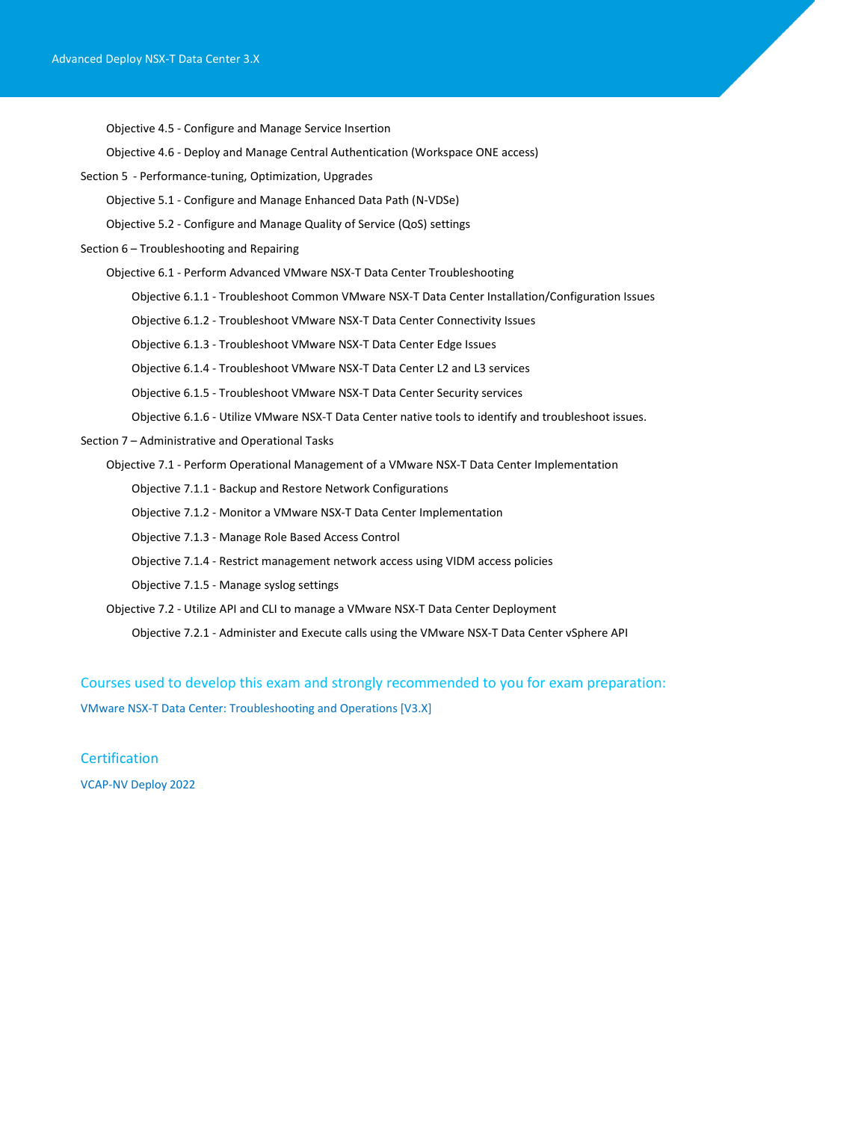Objective 4.5 - Configure and Manage Service Insertion

Objective 4.6 - Deploy and Manage Central Authentication (Workspace ONE access)

Section 5 - Performance-tuning, Optimization, Upgrades

Objective 5.1 - Configure and Manage Enhanced Data Path (N-VDSe)

Objective 5.2 - Configure and Manage Quality of Service (QoS) settings

Section 6 – Troubleshooting and Repairing

Objective 6.1 - Perform Advanced VMware NSX-T Data Center Troubleshooting

Objective 6.1.1 - Troubleshoot Common VMware NSX-T Data Center Installation/Configuration Issues

Objective 6.1.2 - Troubleshoot VMware NSX-T Data Center Connectivity Issues

Objective 6.1.3 - Troubleshoot VMware NSX-T Data Center Edge Issues

Objective 6.1.4 - Troubleshoot VMware NSX-T Data Center L2 and L3 services

Objective 6.1.5 - Troubleshoot VMware NSX-T Data Center Security services

Objective 6.1.6 - Utilize VMware NSX-T Data Center native tools to identify and troubleshoot issues.

Section 7 – Administrative and Operational Tasks

Objective 7.1 - Perform Operational Management of a VMware NSX-T Data Center Implementation

Objective 7.1.1 - Backup and Restore Network Configurations

Objective 7.1.2 - Monitor a VMware NSX-T Data Center Implementation

Objective 7.1.3 - Manage Role Based Access Control

Objective 7.1.4 - Restrict management network access using VIDM access policies

Objective 7.1.5 - Manage syslog settings

Objective 7.2 - Utilize API and CLI to manage a VMware NSX-T Data Center Deployment

Objective 7.2.1 - Administer and Execute calls using the VMware NSX-T Data Center vSphere API

Courses used to develop this exam and strongly recommended to you for exam preparation:

VMware [NSX-T Data Center: Troubleshooting and Operations \[V3.X\]](https://mylearn.vmware.com/mgrReg/courses.cfm?ui=www_edu&a=one&id_subject=93814)

**Certification** [VCAP-NV Deploy](https://www.vmware.com/learning/certification/vcap-nv-deploy.html) 2022